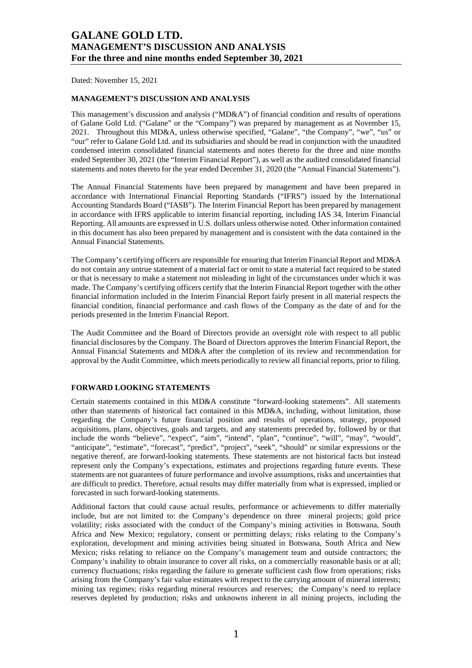Dated: November 15, 2021

#### **MANAGEMENT'S DISCUSSION AND ANALYSIS**

This management's discussion and analysis ("MD&A") of financial condition and results of operations of Galane Gold Ltd. ("Galane" or the "Company") was prepared by management as at November 15, 2021. Throughout this MD&A, unless otherwise specified, "Galane", "the Company", "we", "us" or "our" refer to Galane Gold Ltd. and its subsidiaries and should be read in conjunction with the unaudited condensed interim consolidated financial statements and notes thereto for the three and nine months ended September 30, 2021 (the "Interim Financial Report"), as well as the audited consolidated financial statements and notes thereto for the year ended December 31, 2020 (the "Annual Financial Statements").

The Annual Financial Statements have been prepared by management and have been prepared in accordance with International Financial Reporting Standards ("IFRS") issued by the International Accounting Standards Board ("IASB"). The Interim Financial Report has been prepared by management in accordance with IFRS applicable to interim financial reporting, including IAS 34, Interim Financial Reporting. All amounts are expressed in U.S. dollars unless otherwise noted. Other information contained in this document has also been prepared by management and is consistent with the data contained in the Annual Financial Statements.

The Company's certifying officers are responsible for ensuring that Interim Financial Report and MD&A do not contain any untrue statement of a material fact or omit to state a material fact required to be stated or that is necessary to make a statement not misleading in light of the circumstances under which it was made. The Company's certifying officers certify that the Interim Financial Report together with the other financial information included in the Interim Financial Report fairly present in all material respects the financial condition, financial performance and cash flows of the Company as the date of and for the periods presented in the Interim Financial Report.

The Audit Committee and the Board of Directors provide an oversight role with respect to all public financial disclosures by the Company. The Board of Directors approves the Interim Financial Report, the Annual Financial Statements and MD&A after the completion of its review and recommendation for approval by the Audit Committee, which meets periodically to review all financial reports, prior to filing.

#### **FORWARD LOOKING STATEMENTS**

Certain statements contained in this MD&A constitute "forward-looking statements". All statements other than statements of historical fact contained in this MD&A, including, without limitation, those regarding the Company's future financial position and results of operations, strategy, proposed acquisitions, plans, objectives, goals and targets, and any statements preceded by, followed by or that include the words "believe", "expect", "aim", "intend", "plan", "continue", "will", "may", "would", "anticipate", "estimate", "forecast", "predict", "project", "seek", "should" or similar expressions or the negative thereof, are forward-looking statements. These statements are not historical facts but instead represent only the Company's expectations, estimates and projections regarding future events. These statements are not guarantees of future performance and involve assumptions, risks and uncertainties that are difficult to predict. Therefore, actual results may differ materially from what is expressed, implied or forecasted in such forward-looking statements.

Additional factors that could cause actual results, performance or achievements to differ materially include, but are not limited to: the Company's dependence on three mineral projects; gold price volatility; risks associated with the conduct of the Company's mining activities in Botswana, South Africa and New Mexico; regulatory, consent or permitting delays; risks relating to the Company's exploration, development and mining activities being situated in Botswana, South Africa and New Mexico; risks relating to reliance on the Company's management team and outside contractors; the Company's inability to obtain insurance to cover all risks, on a commercially reasonable basis or at all; currency fluctuations; risks regarding the failure to generate sufficient cash flow from operations; risks arising from the Company's fair value estimates with respect to the carrying amount of mineral interests; mining tax regimes; risks regarding mineral resources and reserves; the Company's need to replace reserves depleted by production; risks and unknowns inherent in all mining projects, including the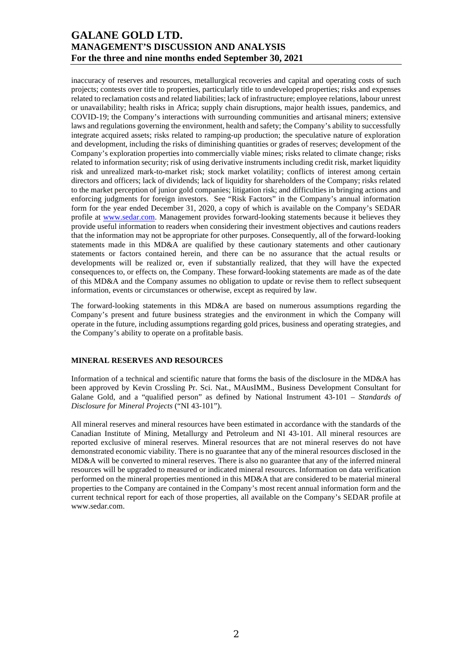inaccuracy of reserves and resources, metallurgical recoveries and capital and operating costs of such projects; contests over title to properties, particularly title to undeveloped properties; risks and expenses related to reclamation costs and related liabilities; lack of infrastructure; employee relations, labour unrest or unavailability; health risks in Africa; supply chain disruptions, major health issues, pandemics, and COVID-19; the Company's interactions with surrounding communities and artisanal miners; extensive laws and regulations governing the environment, health and safety; the Company's ability to successfully integrate acquired assets; risks related to ramping-up production; the speculative nature of exploration and development, including the risks of diminishing quantities or grades of reserves; development of the Company's exploration properties into commercially viable mines; risks related to climate change; risks related to information security; risk of using derivative instruments including credit risk, market liquidity risk and unrealized mark-to-market risk; stock market volatility; conflicts of interest among certain directors and officers; lack of dividends; lack of liquidity for shareholders of the Company; risks related to the market perception of junior gold companies; litigation risk; and difficulties in bringing actions and enforcing judgments for foreign investors. See "Risk Factors" in the Company's annual information form for the year ended December 31, 2020, a copy of which is available on the Company's SEDAR profile at [www.sedar.com.](http://www.sedar.com/) Management provides forward-looking statements because it believes they provide useful information to readers when considering their investment objectives and cautions readers that the information may not be appropriate for other purposes. Consequently, all of the forward-looking statements made in this MD&A are qualified by these cautionary statements and other cautionary statements or factors contained herein, and there can be no assurance that the actual results or developments will be realized or, even if substantially realized, that they will have the expected consequences to, or effects on, the Company. These forward-looking statements are made as of the date of this MD&A and the Company assumes no obligation to update or revise them to reflect subsequent information, events or circumstances or otherwise, except as required by law.

The forward-looking statements in this MD&A are based on numerous assumptions regarding the Company's present and future business strategies and the environment in which the Company will operate in the future, including assumptions regarding gold prices, business and operating strategies, and the Company's ability to operate on a profitable basis.

### **MINERAL RESERVES AND RESOURCES**

Information of a technical and scientific nature that forms the basis of the disclosure in the MD&A has been approved by Kevin Crossling Pr. Sci. Nat., MAusIMM., Business Development Consultant for Galane Gold, and a "qualified person" as defined by National Instrument 43-101 – *Standards of Disclosure for Mineral Projects* ("NI 43-101").

All mineral reserves and mineral resources have been estimated in accordance with the standards of the Canadian Institute of Mining, Metallurgy and Petroleum and NI 43-101. All mineral resources are reported exclusive of mineral reserves. Mineral resources that are not mineral reserves do not have demonstrated economic viability. There is no guarantee that any of the mineral resources disclosed in the MD&A will be converted to mineral reserves. There is also no guarantee that any of the inferred mineral resources will be upgraded to measured or indicated mineral resources. Information on data verification performed on the mineral properties mentioned in this MD&A that are considered to be material mineral properties to the Company are contained in the Company's most recent annual information form and the current technical report for each of those properties, all available on the Company's SEDAR profile at www.sedar.com.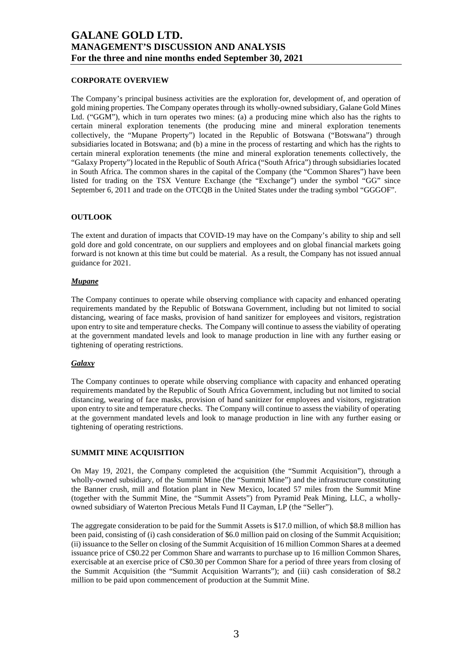### **CORPORATE OVERVIEW**

The Company's principal business activities are the exploration for, development of, and operation of gold mining properties. The Company operates through its wholly-owned subsidiary, Galane Gold Mines Ltd. ("GGM"), which in turn operates two mines: (a) a producing mine which also has the rights to certain mineral exploration tenements (the producing mine and mineral exploration tenements collectively, the "Mupane Property") located in the Republic of Botswana ("Botswana") through subsidiaries located in Botswana; and (b) a mine in the process of restarting and which has the rights to certain mineral exploration tenements (the mine and mineral exploration tenements collectively, the "Galaxy Property") located in the Republic of South Africa ("South Africa") through subsidiaries located in South Africa. The common shares in the capital of the Company (the "Common Shares") have been listed for trading on the TSX Venture Exchange (the "Exchange") under the symbol "GG" since September 6, 2011 and trade on the OTCQB in the United States under the trading symbol "GGGOF".

#### **OUTLOOK**

The extent and duration of impacts that COVID-19 may have on the Company's ability to ship and sell gold dore and gold concentrate, on our suppliers and employees and on global financial markets going forward is not known at this time but could be material. As a result, the Company has not issued annual guidance for 2021.

#### *Mupane*

The Company continues to operate while observing compliance with capacity and enhanced operating requirements mandated by the Republic of Botswana Government, including but not limited to social distancing, wearing of face masks, provision of hand sanitizer for employees and visitors, registration upon entry to site and temperature checks. The Company will continue to assess the viability of operating at the government mandated levels and look to manage production in line with any further easing or tightening of operating restrictions.

### *Galaxy*

The Company continues to operate while observing compliance with capacity and enhanced operating requirements mandated by the Republic of South Africa Government, including but not limited to social distancing, wearing of face masks, provision of hand sanitizer for employees and visitors, registration upon entry to site and temperature checks. The Company will continue to assess the viability of operating at the government mandated levels and look to manage production in line with any further easing or tightening of operating restrictions.

#### **SUMMIT MINE ACQUISITION**

On May 19, 2021, the Company completed the acquisition (the "Summit Acquisition"), through a wholly-owned subsidiary, of the Summit Mine (the "Summit Mine") and the infrastructure constituting the Banner crush, mill and flotation plant in New Mexico, located 57 miles from the Summit Mine (together with the Summit Mine, the "Summit Assets") from Pyramid Peak Mining, LLC, a whollyowned subsidiary of Waterton Precious Metals Fund II Cayman, LP (the "Seller").

The aggregate consideration to be paid for the Summit Assets is \$17.0 million, of which \$8.8 million has been paid, consisting of (i) cash consideration of \$6.0 million paid on closing of the Summit Acquisition; (ii) issuance to the Seller on closing of the Summit Acquisition of 16 million Common Shares at a deemed issuance price of C\$0.22 per Common Share and warrants to purchase up to 16 million Common Shares, exercisable at an exercise price of C\$0.30 per Common Share for a period of three years from closing of the Summit Acquisition (the "Summit Acquisition Warrants"); and (iii) cash consideration of \$8.2 million to be paid upon commencement of production at the Summit Mine.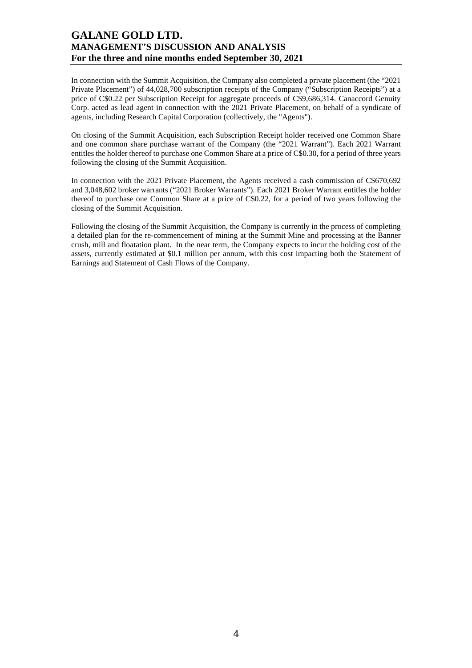In connection with the Summit Acquisition, the Company also completed a private placement (the "2021 Private Placement") of 44,028,700 subscription receipts of the Company ("Subscription Receipts") at a price of C\$0.22 per Subscription Receipt for aggregate proceeds of C\$9,686,314. Canaccord Genuity Corp. acted as lead agent in connection with the 2021 Private Placement, on behalf of a syndicate of agents, including Research Capital Corporation (collectively, the "Agents").

On closing of the Summit Acquisition, each Subscription Receipt holder received one Common Share and one common share purchase warrant of the Company (the "2021 Warrant"). Each 2021 Warrant entitles the holder thereof to purchase one Common Share at a price of C\$0.30, for a period of three years following the closing of the Summit Acquisition.

In connection with the 2021 Private Placement, the Agents received a cash commission of C\$670,692 and 3,048,602 broker warrants ("2021 Broker Warrants"). Each 2021 Broker Warrant entitles the holder thereof to purchase one Common Share at a price of C\$0.22, for a period of two years following the closing of the Summit Acquisition.

Following the closing of the Summit Acquisition, the Company is currently in the process of completing a detailed plan for the re-commencement of mining at the Summit Mine and processing at the Banner crush, mill and floatation plant. In the near term, the Company expects to incur the holding cost of the assets, currently estimated at \$0.1 million per annum, with this cost impacting both the Statement of Earnings and Statement of Cash Flows of the Company.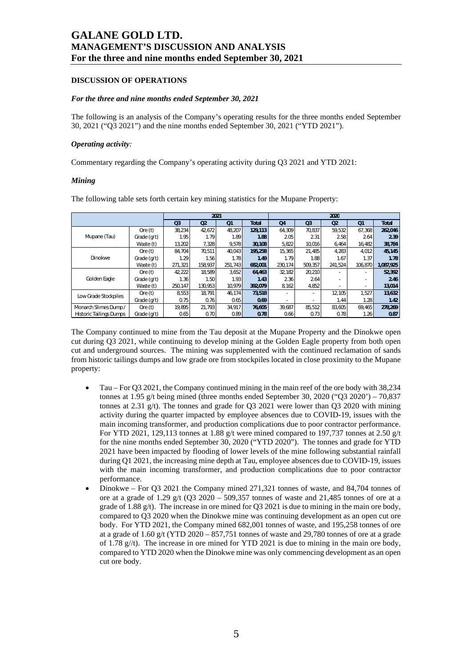#### **DISCUSSION OF OPERATIONS**

#### *For the three and nine months ended September 30, 2021*

The following is an analysis of the Company's operating results for the three months ended September 30, 2021 ("Q3 2021") and the nine months ended September 30, 2021 ("YTD 2021").

#### *Operating activity:*

Commentary regarding the Company's operating activity during Q3 2021 and YTD 2021:

#### *Mining*

The following table sets forth certain key mining statistics for the Mupane Property:

|                                |             |                |                | 2021           |              |         |                | 2020           |                |              |
|--------------------------------|-------------|----------------|----------------|----------------|--------------|---------|----------------|----------------|----------------|--------------|
|                                |             | Q <sub>3</sub> | Q <sub>2</sub> | Q <sub>1</sub> | <b>Total</b> | Q4      | Q <sub>3</sub> | O <sub>2</sub> | Q <sub>1</sub> | <b>Total</b> |
|                                | Ore $(t)$   | 38,234         | 42.672         | 48.207         | 129,113      | 64.309  | 70.837         | 59.532         | 67.368         | 262,046      |
| Mupane (Tau)                   | Grade (g/t) | 1.95           | 1.79           | 1.89           | 1.88         | 2.05    | 2.31           | 2.58           | 2.64           | 2.39         |
|                                | Waste (t)   | 13,202         | 7.328          | 9,578          | 30,108       | 5,822   | 10.016         | 6,464          | 16.482         | 38,784       |
|                                | Ore $(t)$   | 84.704         | 70.511         | 40.043         | 195.258      | 15.365  | 21.485         | 4,283          | 4.012          | 45,145       |
| Dinokwe                        | Grade (g/t) | 1.29           | 1.56           | 1.78           | 1.49         | 1.79    | 1.88           | 1.67           | 1.37           | 1.78         |
|                                | Waste (t)   | 271.321        | 158.937        | 251.743        | 682.001      | 230.174 | 509.357        | 241.524        | 106.870        | 1,087,925    |
|                                | Ore $(t)$   | 42.222         | 18.589         | 3,652          | 64,463       | 32,182  | 20,210         |                |                | 52,392       |
| Golden Eagle                   | Grade (g/t) | 1.36           | 1.50           | 1.93           | 1.43         | 2.36    | 2.64           |                |                | 2.46         |
|                                | Waste (t)   | 250.147        | 130.953        | 10.979         | 392.079      | 8.162   | 4.852          |                |                | 13,014       |
|                                | Ore $(t)$   | 8,553          | 18.791         | 46.174         | 73,518       |         |                | 12.105         | 1.527          | 13,632       |
| Low Grade Stockpiles           | Grade (g/t) | 0.75           | 0.76           | 0.65           | 0.69         |         |                | 1.44           | 1.28           | 1.42         |
| Monarch Slimes Dump /          | Ore $(t)$   | 19.895         | 21.793         | 34.917         | 76,605       | 39.687  | 85.512         | 83.605         | 69.465         | 278,269      |
| <b>Historic Tailings Dumps</b> | Grade (g/t) | 0.65           | 0.70           | 0.89           | 0.78         | 0.66    | 0.73           | 0.78           | 1.26           | 0.87         |

The Company continued to mine from the Tau deposit at the Mupane Property and the Dinokwe open cut during Q3 2021, while continuing to develop mining at the Golden Eagle property from both open cut and underground sources. The mining was supplemented with the continued reclamation of sands from historic tailings dumps and low grade ore from stockpiles located in close proximity to the Mupane property:

- Tau For O3 2021, the Company continued mining in the main reef of the ore body with 38,234 tonnes at 1.95 g/t being mined (three months ended September 30, 2020 ("Q3 2020') – 70,837 tonnes at 2.31 g/t). The tonnes and grade for Q3 2021 were lower than Q3 2020 with mining activity during the quarter impacted by employee absences due to COVID-19, issues with the main incoming transformer, and production complications due to poor contractor performance. For YTD 2021, 129,113 tonnes at 1.88 g/t were mined compared to 197,737 tonnes at 2.50 g/t for the nine months ended September 30, 2020 ("YTD 2020"). The tonnes and grade for YTD 2021 have been impacted by flooding of lower levels of the mine following substantial rainfall during Q1 2021, the increasing mine depth at Tau, employee absences due to COVID-19, issues with the main incoming transformer, and production complications due to poor contractor performance.
- Dinokwe For Q3 2021 the Company mined 271,321 tonnes of waste, and 84,704 tonnes of ore at a grade of 1.29 g/t (Q3 2020 – 509,357 tonnes of waste and 21,485 tonnes of ore at a grade of 1.88 g/t). The increase in ore mined for Q3 2021 is due to mining in the main ore body, compared to Q3 2020 when the Dinokwe mine was continuing development as an open cut ore body. For YTD 2021, the Company mined 682,001 tonnes of waste, and 195,258 tonnes of ore at a grade of  $1.60$  g/t (YTD 2020 –  $857,751$  tonnes of waste and 29,780 tonnes of ore at a grade of 1.78 g//t). The increase in ore mined for YTD 2021 is due to mining in the main ore body, compared to YTD 2020 when the Dinokwe mine was only commencing development as an open cut ore body.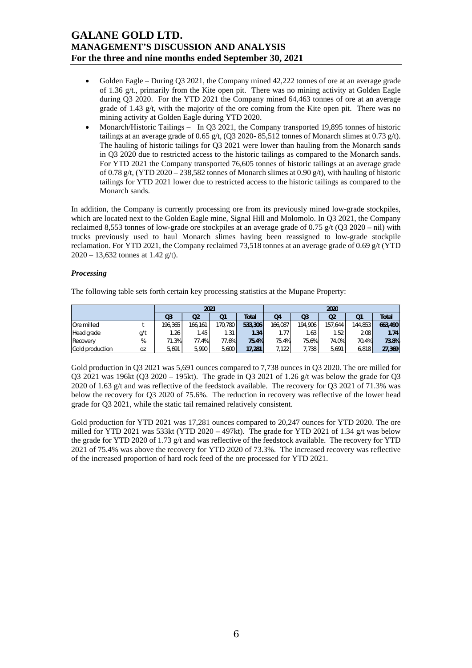- Golden Eagle During Q3 2021, the Company mined 42,222 tonnes of ore at an average grade of 1.36 g/t., primarily from the Kite open pit. There was no mining activity at Golden Eagle during Q3 2020. For the YTD 2021 the Company mined 64,463 tonnes of ore at an average grade of 1.43 g/t, with the majority of the ore coming from the Kite open pit. There was no mining activity at Golden Eagle during YTD 2020.
- Monarch/Historic Tailings In Q3 2021, the Company transported 19,895 tonnes of historic tailings at an average grade of 0.65 g/t, (Q3 2020- 85,512 tonnes of Monarch slimes at 0.73 g/t). The hauling of historic tailings for Q3 2021 were lower than hauling from the Monarch sands in Q3 2020 due to restricted access to the historic tailings as compared to the Monarch sands. For YTD 2021 the Company transported 76,605 tonnes of historic tailings at an average grade of 0.78 g/t, (YTD 2020 – 238,582 tonnes of Monarch slimes at 0.90 g/t), with hauling of historic tailings for YTD 2021 lower due to restricted access to the historic tailings as compared to the Monarch sands.

In addition, the Company is currently processing ore from its previously mined low-grade stockpiles, which are located next to the Golden Eagle mine, Signal Hill and Molomolo. In Q3 2021, the Company reclaimed 8,553 tonnes of low-grade ore stockpiles at an average grade of 0.75 g/t (Q3 2020 – nil) with trucks previously used to haul Monarch slimes having been reassigned to low-grade stockpile reclamation. For YTD 2021, the Company reclaimed 73,518 tonnes at an average grade of 0.69 g/t (YTD 2020 – 13,632 tonnes at 1.42 g/t).

#### *Processing*

The following table sets forth certain key processing statistics at the Mupane Property:

|                 |           |                | 2021    |         |              | 2020           |                |         |          |              |  |
|-----------------|-----------|----------------|---------|---------|--------------|----------------|----------------|---------|----------|--------------|--|
|                 |           | Q <sub>3</sub> | Q2      | Q1      | <b>Total</b> | Q <sub>4</sub> | Q <sub>3</sub> | Q2      | Q1       | <b>Total</b> |  |
| Ore milled      |           | 196.365        | 166.161 | 170,780 | 533,306      | 166.087        | 194.906        | 157.644 | 144.853  | 663,490      |  |
| Head grade      | g/t       | 1.26           | .45     | 1.31    | 1.34         | 1.77           | 1.63           | . 52 !  | 2.08     | 1.74         |  |
| Recovery        | %         | 71.3%          | 77.4%   | 77.6%   | 75.4%        | 75.4%          | 75.6%          | 74.0%   | $70.4\%$ | 73.8%        |  |
| Gold production | <b>OZ</b> | 5,691          | 5.990   | 5.600   | 17,281       | 7,122          | 7.738          | 5.691   | 6,818    | 27,369       |  |

Gold production in O3 2021 was 5,691 ounces compared to 7,738 ounces in O3 2020. The ore milled for Q3 2021 was 196kt (Q3 2020 – 195kt). The grade in Q3 2021 of 1.26 g/t was below the grade for Q3 2020 of 1.63 g/t and was reflective of the feedstock available. The recovery for Q3 2021 of 71.3% was below the recovery for Q3 2020 of 75.6%. The reduction in recovery was reflective of the lower head grade for Q3 2021, while the static tail remained relatively consistent.

Gold production for YTD 2021 was 17,281 ounces compared to 20,247 ounces for YTD 2020. The ore milled for YTD 2021 was 533kt (YTD 2020 – 497kt). The grade for YTD 2021 of 1.34 g/t was below the grade for YTD 2020 of 1.73 g/t and was reflective of the feedstock available. The recovery for YTD 2021 of 75.4% was above the recovery for YTD 2020 of 73.3%. The increased recovery was reflective of the increased proportion of hard rock feed of the ore processed for YTD 2021.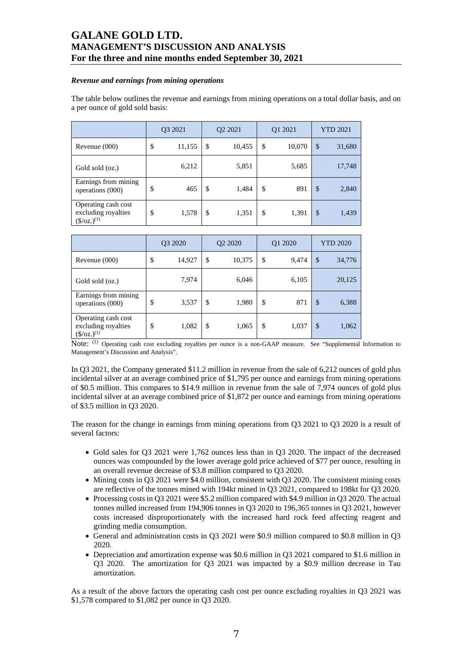#### *Revenue and earnings from mining operations*

The table below outlines the revenue and earnings from mining operations on a total dollar basis, and on a per ounce of gold sold basis:

|                                                                     | Q3 2021 |        | Q2 2021 |        | Q1 2021      | <b>YTD 2021</b> |        |
|---------------------------------------------------------------------|---------|--------|---------|--------|--------------|-----------------|--------|
| Revenue $(000)$                                                     | \$      | 11,155 | \$      | 10,455 | \$<br>10,070 | \$              | 31,680 |
| Gold sold (oz.)                                                     |         | 6,212  |         | 5,851  | 5,685        |                 | 17,748 |
| Earnings from mining<br>operations (000)                            | \$      | 465    | \$      | 1,484  | \$<br>891    | $\mathcal{S}$   | 2,840  |
| Operating cash cost<br>excluding royalties<br>$(\frac{\csc(1)}{2})$ | \$      | 1,578  | \$      | 1,351  | \$<br>1,391  | $\mathcal{S}$   | 1,439  |

|                                                                     | Q3 2020 |        |               | Q <sub>2</sub> 20 <sub>20</sub> |    | Q1 2020 | <b>YTD 2020</b> |        |  |
|---------------------------------------------------------------------|---------|--------|---------------|---------------------------------|----|---------|-----------------|--------|--|
| Revenue (000)                                                       | \$      | 14,927 | \$            | 10,375                          | \$ | 9,474   | \$              | 34,776 |  |
| Gold sold (oz.)                                                     |         | 7,974  |               | 6,046                           |    | 6,105   |                 | 20,125 |  |
| Earnings from mining<br>operations (000)                            | \$      | 3,537  | $\mathcal{S}$ | 1,980                           | \$ | 871     | \$              | 6,388  |  |
| Operating cash cost<br>excluding royalties<br>$(\frac{\csc(1)}{2})$ | \$      | 1,082  | \$            | 1,065                           | \$ | 1,037   | \$              | 1,062  |  |

Note: (1) Operating cash cost excluding royalties per ounce is a non-GAAP measure. See "Supplemental Information to Management's Discussion and Analysis".

In Q3 2021, the Company generated \$11.2 million in revenue from the sale of 6,212 ounces of gold plus incidental silver at an average combined price of \$1,795 per ounce and earnings from mining operations of \$0.5 million. This compares to \$14.9 million in revenue from the sale of 7,974 ounces of gold plus incidental silver at an average combined price of \$1,872 per ounce and earnings from mining operations of \$3.5 million in Q3 2020.

The reason for the change in earnings from mining operations from Q3 2021 to Q3 2020 is a result of several factors:

- Gold sales for O3 2021 were 1,762 ounces less than in O3 2020. The impact of the decreased ounces was compounded by the lower average gold price achieved of \$77 per ounce, resulting in an overall revenue decrease of \$3.8 million compared to Q3 2020.
- Mining costs in Q3 2021 were \$4.0 million, consistent with Q3 2020. The consistent mining costs are reflective of the tonnes mined with 194kt mined in Q3 2021, compared to 198kt for Q3 2020.
- Processing costs in Q3 2021 were \$5.2 million compared with \$4.9 million in Q3 2020. The actual tonnes milled increased from 194,906 tonnes in Q3 2020 to 196,365 tonnes in Q3 2021, however costs increased disproportionately with the increased hard rock feed affecting reagent and grinding media consumption.
- General and administration costs in Q3 2021 were \$0.9 million compared to \$0.8 million in Q3 2020.
- Depreciation and amortization expense was \$0.6 million in Q3 2021 compared to \$1.6 million in Q3 2020. The amortization for Q3 2021 was impacted by a \$0.9 million decrease in Tau amortization.

As a result of the above factors the operating cash cost per ounce excluding royalties in Q3 2021 was \$1,578 compared to \$1,082 per ounce in Q3 2020.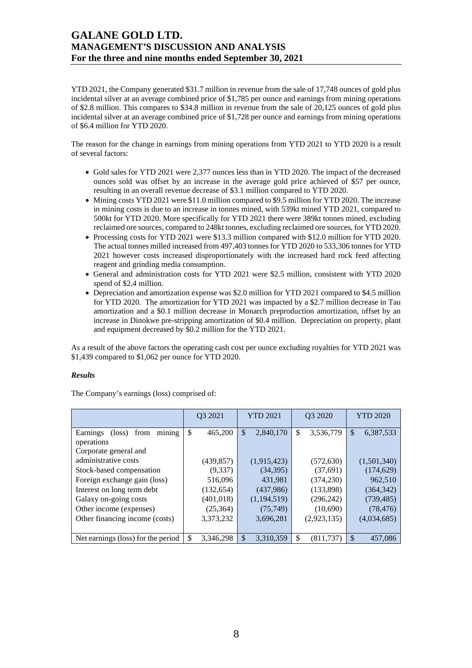YTD 2021, the Company generated \$31.7 million in revenue from the sale of 17,748 ounces of gold plus incidental silver at an average combined price of \$1,785 per ounce and earnings from mining operations of \$2.8 million. This compares to \$34.8 million in revenue from the sale of 20,125 ounces of gold plus incidental silver at an average combined price of \$1,728 per ounce and earnings from mining operations of \$6.4 million for YTD 2020.

The reason for the change in earnings from mining operations from YTD 2021 to YTD 2020 is a result of several factors:

- Gold sales for YTD 2021 were 2,377 ounces less than in YTD 2020. The impact of the decreased ounces sold was offset by an increase in the average gold price achieved of \$57 per ounce, resulting in an overall revenue decrease of \$3.1 million compared to YTD 2020.
- Mining costs YTD 2021 were \$11.0 million compared to \$9.5 million for YTD 2020. The increase in mining costs is due to an increase in tonnes mined, with 539kt mined YTD 2021, compared to 500kt for YTD 2020. More specifically for YTD 2021 there were 389kt tonnes mined, excluding reclaimed ore sources, compared to 248kt tonnes, excluding reclaimed ore sources, for YTD 2020.
- Processing costs for YTD 2021 were \$13.3 million compared with \$12.0 million for YTD 2020. The actual tonnes milled increased from 497,403 tonnes for YTD 2020 to 533,306 tonnes for YTD 2021 however costs increased disproportionately with the increased hard rock feed affecting reagent and grinding media consumption.
- General and administration costs for YTD 2021 were \$2.5 million, consistent with YTD 2020 spend of \$2.4 million.
- Depreciation and amortization expense was \$2.0 million for YTD 2021 compared to \$4.5 million for YTD 2020. The amortization for YTD 2021 was impacted by a \$2.7 million decrease in Tau amortization and a \$0.1 million decrease in Monarch preproduction amortization, offset by an increase in Dinokwe pre-stripping amortization of \$0.4 million. Depreciation on property, plant and equipment decreased by \$0.2 million for the YTD 2021.

As a result of the above factors the operating cash cost per ounce excluding royalties for YTD 2021 was \$1,439 compared to \$1,062 per ounce for YTD 2020.

### *Results*

The Company's earnings (loss) comprised of:

|                                               | Q3 2021         | <b>YTD 2021</b> | Q3 2020          | <b>YTD 2020</b>           |  |
|-----------------------------------------------|-----------------|-----------------|------------------|---------------------------|--|
| mining<br>Earnings<br>from<br>$(\text{loss})$ | \$<br>465,200   | \$<br>2,840,170 | \$<br>3,536,779  | $\mathbb{S}$<br>6,387,533 |  |
| operations                                    |                 |                 |                  |                           |  |
| Corporate general and                         |                 |                 |                  |                           |  |
| administrative costs                          | (439, 857)      | (1,915,423)     | (572, 630)       | (1,501,340)               |  |
| Stock-based compensation                      | (9,337)         | (34, 395)       | (37,691)         | (174, 629)                |  |
| Foreign exchange gain (loss)                  | 516,096         | 431,981         | (374, 230)       | 962,510                   |  |
| Interest on long term debt                    | (132, 654)      | (437,986)       | (133,898)        | (364, 342)                |  |
| Galaxy on-going costs                         | (401, 018)      | (1,194,519)     | (296, 242)       | (739, 485)                |  |
| Other income (expenses)                       | (25, 364)       | (75, 749)       | (10,690)         | (78, 476)                 |  |
| Other financing income (costs)                | 3,373,232       | 3,696,281       | (2,923,135)      | (4,034,685)               |  |
|                                               |                 |                 |                  |                           |  |
| Net earnings (loss) for the period            | \$<br>3,346,298 | \$<br>3,310,359 | \$<br>(811, 737) | <sup>\$</sup><br>457,086  |  |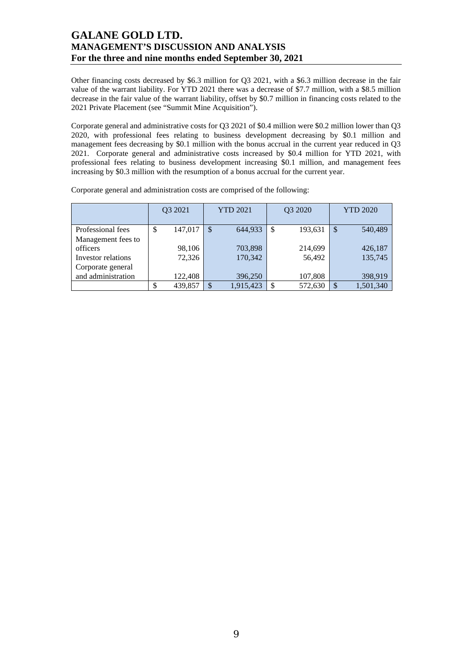Other financing costs decreased by \$6.3 million for Q3 2021, with a \$6.3 million decrease in the fair value of the warrant liability. For YTD 2021 there was a decrease of \$7.7 million, with a \$8.5 million decrease in the fair value of the warrant liability, offset by \$0.7 million in financing costs related to the 2021 Private Placement (see "Summit Mine Acquisition").

Corporate general and administrative costs for Q3 2021 of \$0.4 million were \$0.2 million lower than Q3 2020, with professional fees relating to business development decreasing by \$0.1 million and management fees decreasing by \$0.1 million with the bonus accrual in the current year reduced in O3 2021. Corporate general and administrative costs increased by \$0.4 million for YTD 2021, with professional fees relating to business development increasing \$0.1 million, and management fees increasing by \$0.3 million with the resumption of a bonus accrual for the current year.

|                                | Q3 2021 |         | <b>YTD 2021</b> |           |   | Q3 2020 | <b>YTD 2020</b> |           |  |
|--------------------------------|---------|---------|-----------------|-----------|---|---------|-----------------|-----------|--|
| Professional fees              | \$      | 147,017 | $\mathcal{S}$   | 644,933   | S | 193,631 | \$              | 540,489   |  |
| Management fees to<br>officers |         | 98,106  |                 | 703,898   |   | 214,699 |                 | 426,187   |  |
| Investor relations             |         | 72,326  |                 | 170,342   |   | 56,492  |                 | 135,745   |  |
| Corporate general              |         |         |                 |           |   |         |                 |           |  |
| and administration             |         | 122,408 |                 | 396,250   |   | 107,808 |                 | 398,919   |  |
|                                |         | 439,857 | \$              | 1,915,423 |   | 572,630 | S               | 1,501,340 |  |

Corporate general and administration costs are comprised of the following: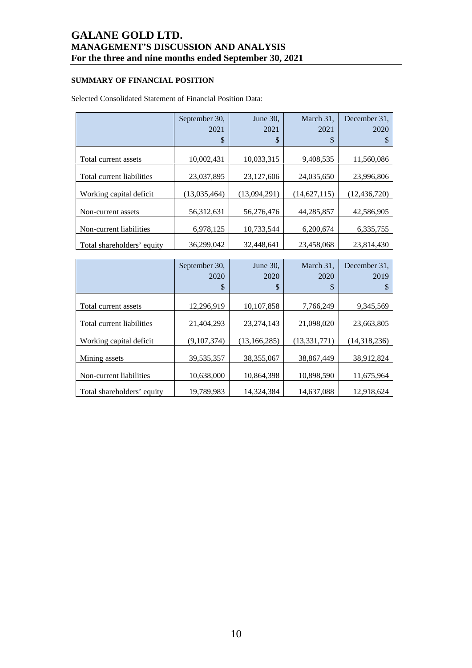### **SUMMARY OF FINANCIAL POSITION**

### Selected Consolidated Statement of Financial Position Data:

|                            | September 30,<br>2021<br>$\boldsymbol{\mathsf{S}}$ | June $30$ .<br>2021<br>\$ | March 31,<br>2021<br>\$ | December 31.<br>2020 |
|----------------------------|----------------------------------------------------|---------------------------|-------------------------|----------------------|
| Total current assets       | 10,002,431                                         | 10,033,315                | 9,408,535               | 11,560,086           |
| Total current liabilities  | 23,037,895                                         | 23,127,606                | 24,035,650              | 23,996,806           |
| Working capital deficit    | (13,035,464)                                       | (13,094,291)              | (14,627,115)            | (12, 436, 720)       |
| Non-current assets         | 56,312,631                                         | 56,276,476                | 44,285,857              | 42,586,905           |
| Non-current liabilities    | 6,978,125                                          | 10,733,544                | 6,200,674               | 6,335,755            |
| Total shareholders' equity | 36,299,042                                         | 32,448,641                | 23,458,068              | 23,814,430           |

|                            | September 30,<br>2020<br>$\boldsymbol{\mathsf{S}}$ | June 30,<br>2020<br>\$ | March 31,<br>2020<br>\$ | December 31.<br>2019 |
|----------------------------|----------------------------------------------------|------------------------|-------------------------|----------------------|
| Total current assets       | 12,296,919                                         | 10,107,858             | 7,766,249               | 9,345,569            |
| Total current liabilities  | 21.404.293                                         | 23,274,143             | 21,098,020              | 23,663,805           |
| Working capital deficit    | (9,107,374)                                        | (13, 166, 285)         | (13, 331, 771)          | (14,318,236)         |
| Mining assets              | 39,535,357                                         | 38,355,067             | 38.867.449              | 38,912,824           |
| Non-current liabilities    | 10,638,000                                         | 10.864.398             | 10.898.590              | 11.675.964           |
| Total shareholders' equity | 19,789,983                                         | 14,324,384             | 14,637,088              | 12,918,624           |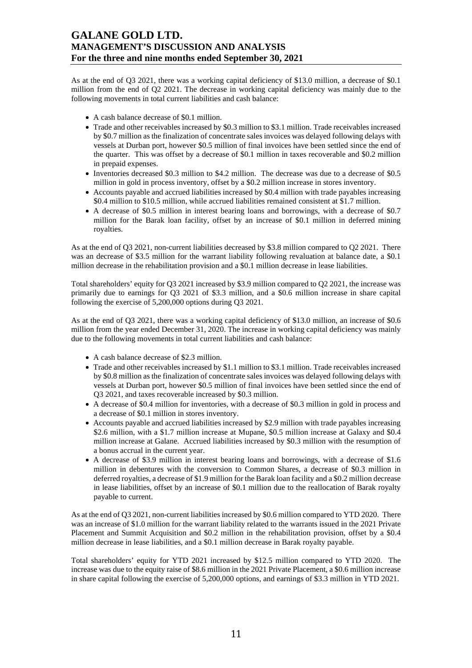As at the end of Q3 2021, there was a working capital deficiency of \$13.0 million, a decrease of \$0.1 million from the end of Q2 2021. The decrease in working capital deficiency was mainly due to the following movements in total current liabilities and cash balance:

- A cash balance decrease of \$0.1 million.
- Trade and other receivables increased by \$0.3 million to \$3.1 million. Trade receivables increased by \$0.7 million as the finalization of concentrate sales invoices was delayed following delays with vessels at Durban port, however \$0.5 million of final invoices have been settled since the end of the quarter. This was offset by a decrease of \$0.1 million in taxes recoverable and \$0.2 million in prepaid expenses.
- Inventories decreased \$0.3 million to \$4.2 million. The decrease was due to a decrease of \$0.5 million in gold in process inventory, offset by a \$0.2 million increase in stores inventory.
- Accounts payable and accrued liabilities increased by \$0.4 million with trade payables increasing \$0.4 million to \$10.5 million, while accrued liabilities remained consistent at \$1.7 million.
- A decrease of \$0.5 million in interest bearing loans and borrowings, with a decrease of \$0.7 million for the Barak loan facility, offset by an increase of \$0.1 million in deferred mining royalties.

As at the end of Q3 2021, non-current liabilities decreased by \$3.8 million compared to Q2 2021. There was an decrease of \$3.5 million for the warrant liability following revaluation at balance date, a \$0.1 million decrease in the rehabilitation provision and a \$0.1 million decrease in lease liabilities.

Total shareholders' equity for Q3 2021 increased by \$3.9 million compared to Q2 2021, the increase was primarily due to earnings for Q3 2021 of \$3.3 million, and a \$0.6 million increase in share capital following the exercise of 5,200,000 options during Q3 2021.

As at the end of Q3 2021, there was a working capital deficiency of \$13.0 million, an increase of \$0.6 million from the year ended December 31, 2020. The increase in working capital deficiency was mainly due to the following movements in total current liabilities and cash balance:

- A cash balance decrease of \$2.3 million.
- Trade and other receivables increased by \$1.1 million to \$3.1 million. Trade receivables increased by \$0.8 million as the finalization of concentrate sales invoices was delayed following delays with vessels at Durban port, however \$0.5 million of final invoices have been settled since the end of Q3 2021, and taxes recoverable increased by \$0.3 million.
- A decrease of \$0.4 million for inventories, with a decrease of \$0.3 million in gold in process and a decrease of \$0.1 million in stores inventory.
- Accounts payable and accrued liabilities increased by \$2.9 million with trade payables increasing \$2.6 million, with a \$1.7 million increase at Mupane, \$0.5 million increase at Galaxy and \$0.4 million increase at Galane. Accrued liabilities increased by \$0.3 million with the resumption of a bonus accrual in the current year.
- A decrease of \$3.9 million in interest bearing loans and borrowings, with a decrease of \$1.6 million in debentures with the conversion to Common Shares, a decrease of \$0.3 million in deferred royalties, a decrease of \$1.9 million for the Barak loan facility and a \$0.2 million decrease in lease liabilities, offset by an increase of \$0.1 million due to the reallocation of Barak royalty payable to current.

As at the end of Q3 2021, non-current liabilities increased by \$0.6 million compared to YTD 2020. There was an increase of \$1.0 million for the warrant liability related to the warrants issued in the 2021 Private Placement and Summit Acquisition and \$0.2 million in the rehabilitation provision, offset by a \$0.4 million decrease in lease liabilities, and a \$0.1 million decrease in Barak royalty payable.

Total shareholders' equity for YTD 2021 increased by \$12.5 million compared to YTD 2020. The increase was due to the equity raise of \$8.6 million in the 2021 Private Placement, a \$0.6 million increase in share capital following the exercise of 5,200,000 options, and earnings of \$3.3 million in YTD 2021.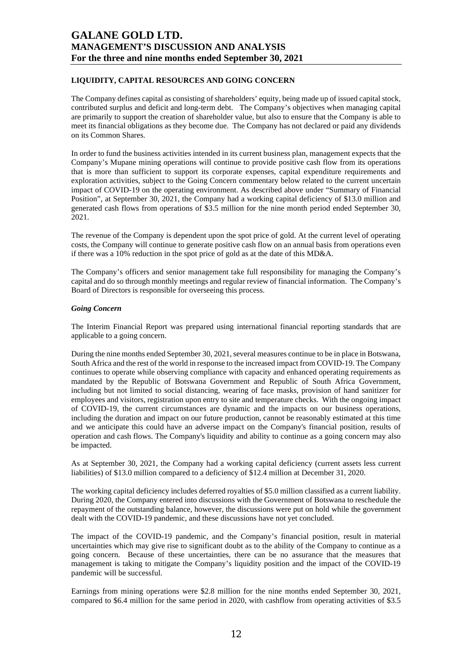### **LIQUIDITY, CAPITAL RESOURCES AND GOING CONCERN**

The Company defines capital as consisting of shareholders' equity, being made up of issued capital stock, contributed surplus and deficit and long-term debt. The Company's objectives when managing capital are primarily to support the creation of shareholder value, but also to ensure that the Company is able to meet its financial obligations as they become due. The Company has not declared or paid any dividends on its Common Shares.

In order to fund the business activities intended in its current business plan, management expects that the Company's Mupane mining operations will continue to provide positive cash flow from its operations that is more than sufficient to support its corporate expenses, capital expenditure requirements and exploration activities, subject to the Going Concern commentary below related to the current uncertain impact of COVID-19 on the operating environment. As described above under "Summary of Financial Position", at September 30, 2021, the Company had a working capital deficiency of \$13.0 million and generated cash flows from operations of \$3.5 million for the nine month period ended September 30, 2021.

The revenue of the Company is dependent upon the spot price of gold. At the current level of operating costs, the Company will continue to generate positive cash flow on an annual basis from operations even if there was a 10% reduction in the spot price of gold as at the date of this MD&A.

The Company's officers and senior management take full responsibility for managing the Company's capital and do so through monthly meetings and regular review of financial information. The Company's Board of Directors is responsible for overseeing this process.

#### *Going Concern*

The Interim Financial Report was prepared using international financial reporting standards that are applicable to a going concern.

During the nine months ended September 30, 2021, several measures continue to be in place in Botswana, South Africa and the rest of the world in response to the increased impact from COVID-19. The Company continues to operate while observing compliance with capacity and enhanced operating requirements as mandated by the Republic of Botswana Government and Republic of South Africa Government, including but not limited to social distancing, wearing of face masks, provision of hand sanitizer for employees and visitors, registration upon entry to site and temperature checks. With the ongoing impact of COVID-19, the current circumstances are dynamic and the impacts on our business operations, including the duration and impact on our future production, cannot be reasonably estimated at this time and we anticipate this could have an adverse impact on the Company's financial position, results of operation and cash flows. The Company's liquidity and ability to continue as a going concern may also be impacted.

As at September 30, 2021, the Company had a working capital deficiency (current assets less current liabilities) of \$13.0 million compared to a deficiency of \$12.4 million at December 31, 2020.

The working capital deficiency includes deferred royalties of \$5.0 million classified as a current liability. During 2020, the Company entered into discussions with the Government of Botswana to reschedule the repayment of the outstanding balance, however, the discussions were put on hold while the government dealt with the COVID-19 pandemic, and these discussions have not yet concluded.

The impact of the COVID-19 pandemic, and the Company's financial position, result in material uncertainties which may give rise to significant doubt as to the ability of the Company to continue as a going concern. Because of these uncertainties, there can be no assurance that the measures that management is taking to mitigate the Company's liquidity position and the impact of the COVID-19 pandemic will be successful.

Earnings from mining operations were \$2.8 million for the nine months ended September 30, 2021, compared to \$6.4 million for the same period in 2020, with cashflow from operating activities of \$3.5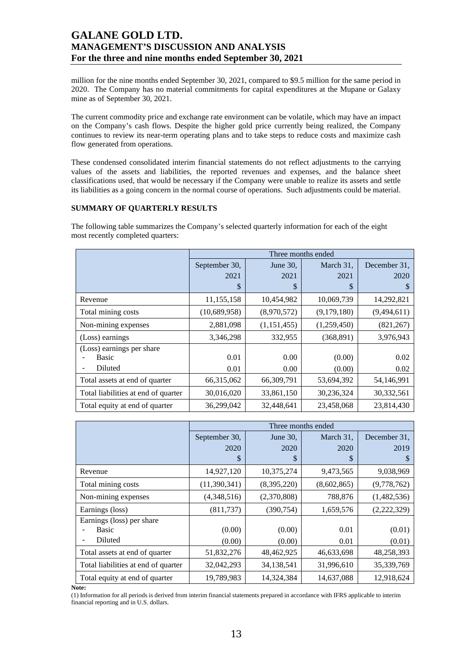million for the nine months ended September 30, 2021, compared to \$9.5 million for the same period in 2020. The Company has no material commitments for capital expenditures at the Mupane or Galaxy mine as of September 30, 2021.

The current commodity price and exchange rate environment can be volatile, which may have an impact on the Company's cash flows. Despite the higher gold price currently being realized, the Company continues to review its near-term operating plans and to take steps to reduce costs and maximize cash flow generated from operations.

These condensed consolidated interim financial statements do not reflect adjustments to the carrying values of the assets and liabilities, the reported revenues and expenses, and the balance sheet classifications used, that would be necessary if the Company were unable to realize its assets and settle its liabilities as a going concern in the normal course of operations. Such adjustments could be material.

### **SUMMARY OF QUARTERLY RESULTS**

The following table summarizes the Company's selected quarterly information for each of the eight most recently completed quarters:

|                                               |               |              | Three months ended |              |
|-----------------------------------------------|---------------|--------------|--------------------|--------------|
|                                               | September 30, | June 30,     | March 31,          | December 31, |
|                                               | 2021          | 2021         | 2021               | 2020         |
|                                               | \$            | \$           | \$                 | S            |
| Revenue                                       | 11,155,158    | 10,454,982   | 10,069,739         | 14,292,821   |
| Total mining costs                            | (10,689,958)  | (8,970,572)  | (9,179,180)        | (9,494,611)  |
| Non-mining expenses                           | 2,881,098     | (1,151,455)  | (1,259,450)        | (821, 267)   |
| (Loss) earnings                               | 3,346,298     | 332,955      | (368, 891)         | 3,976,943    |
| (Loss) earnings per share<br>Basic<br>Diluted | 0.01<br>0.01  | 0.00<br>0.00 | (0.00)<br>(0.00)   | 0.02<br>0.02 |
| Total assets at end of quarter                | 66,315,062    | 66,309,791   | 53,694,392         | 54,146,991   |
| Total liabilities at end of quarter           | 30,016,020    | 33,861,150   | 30,236,324         | 30,332,561   |
| Total equity at end of quarter                | 36,299,042    | 32,448,641   | 23,458,068         | 23,814,430   |

|                                     |               |             | Three months ended |              |
|-------------------------------------|---------------|-------------|--------------------|--------------|
|                                     | September 30, | June $30$ , | March 31,          | December 31, |
|                                     | 2020          | 2020        | 2020               | 2019         |
|                                     | \$            | \$          | S                  | S            |
| Revenue                             | 14,927,120    | 10,375,274  | 9,473,565          | 9,038,969    |
| Total mining costs                  | (11,390,341)  | (8,395,220) | (8,602,865)        | (9,778,762)  |
| Non-mining expenses                 | (4,348,516)   | (2,370,808) | 788,876            | (1,482,536)  |
| Earnings (loss)                     | (811, 737)    | (390, 754)  | 1,659,576          | (2,222,329)  |
| Earnings (loss) per share           |               |             |                    |              |
| <b>Basic</b>                        | (0.00)        | (0.00)      | 0.01               | (0.01)       |
| Diluted                             | (0.00)        | (0.00)      | 0.01               | (0.01)       |
| Total assets at end of quarter      | 51,832,276    | 48,462,925  | 46,633,698         | 48,258,393   |
| Total liabilities at end of quarter | 32,042,293    | 34,138,541  | 31,996,610         | 35,339,769   |
| Total equity at end of quarter      | 19,789,983    | 14,324,384  | 14,637,088         | 12,918,624   |

**Note:** 

(1) Information for all periods is derived from interim financial statements prepared in accordance with IFRS applicable to interim financial reporting and in U.S. dollars.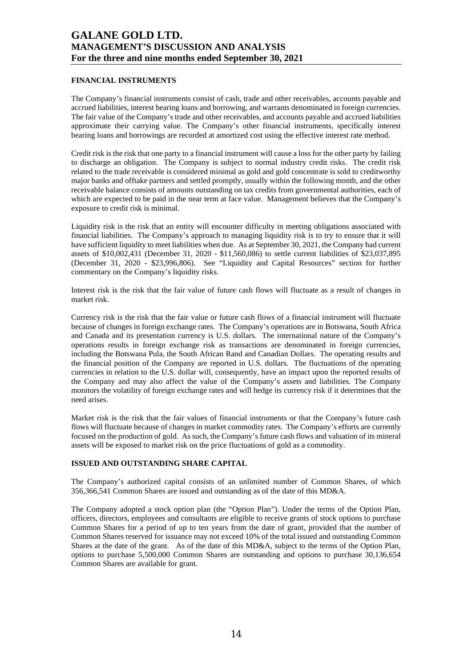### **FINANCIAL INSTRUMENTS**

The Company's financial instruments consist of cash, trade and other receivables, accounts payable and accrued liabilities, interest bearing loans and borrowing, and warrants denominated in foreign currencies. The fair value of the Company's trade and other receivables, and accounts payable and accrued liabilities approximate their carrying value. The Company's other financial instruments, specifically interest bearing loans and borrowings are recorded at amortized cost using the effective interest rate method.

Credit risk is the risk that one party to a financial instrument will cause a loss for the other party by failing to discharge an obligation. The Company is subject to normal industry credit risks. The credit risk related to the trade receivable is considered minimal as gold and gold concentrate is sold to creditworthy major banks and offtake partners and settled promptly, usually within the following month, and the other receivable balance consists of amounts outstanding on tax credits from governmental authorities, each of which are expected to be paid in the near term at face value. Management believes that the Company's exposure to credit risk is minimal.

Liquidity risk is the risk that an entity will encounter difficulty in meeting obligations associated with financial liabilities. The Company's approach to managing liquidity risk is to try to ensure that it will have sufficient liquidity to meet liabilities when due. As at September 30, 2021, the Company had current assets of \$10,002,431 (December 31, 2020 - \$11,560,086) to settle current liabilities of \$23,037,895 (December 31, 2020 - \$23,996,806). See "Liquidity and Capital Resources" section for further commentary on the Company's liquidity risks.

Interest risk is the risk that the fair value of future cash flows will fluctuate as a result of changes in market risk.

Currency risk is the risk that the fair value or future cash flows of a financial instrument will fluctuate because of changes in foreign exchange rates. The Company's operations are in Botswana, South Africa and Canada and its presentation currency is U.S. dollars. The international nature of the Company's operations results in foreign exchange risk as transactions are denominated in foreign currencies, including the Botswana Pula, the South African Rand and Canadian Dollars. The operating results and the financial position of the Company are reported in U.S. dollars. The fluctuations of the operating currencies in relation to the U.S. dollar will, consequently, have an impact upon the reported results of the Company and may also affect the value of the Company's assets and liabilities. The Company monitors the volatility of foreign exchange rates and will hedge its currency risk if it determines that the need arises.

Market risk is the risk that the fair values of financial instruments or that the Company's future cash flows will fluctuate because of changes in market commodity rates. The Company's efforts are currently focused on the production of gold. As such, the Company's future cash flows and valuation of its mineral assets will be exposed to market risk on the price fluctuations of gold as a commodity.

#### **ISSUED AND OUTSTANDING SHARE CAPITAL**

The Company's authorized capital consists of an unlimited number of Common Shares, of which 356,366,541 Common Shares are issued and outstanding as of the date of this MD&A.

The Company adopted a stock option plan (the "Option Plan"). Under the terms of the Option Plan, officers, directors, employees and consultants are eligible to receive grants of stock options to purchase Common Shares for a period of up to ten years from the date of grant, provided that the number of Common Shares reserved for issuance may not exceed 10% of the total issued and outstanding Common Shares at the date of the grant. As of the date of this MD&A, subject to the terms of the Option Plan, options to purchase 5,500,000 Common Shares are outstanding and options to purchase 30,136,654 Common Shares are available for grant.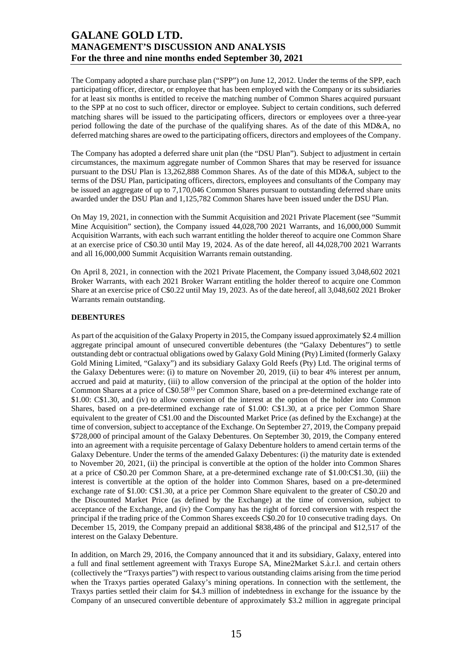The Company adopted a share purchase plan ("SPP") on June 12, 2012. Under the terms of the SPP, each participating officer, director, or employee that has been employed with the Company or its subsidiaries for at least six months is entitled to receive the matching number of Common Shares acquired pursuant to the SPP at no cost to such officer, director or employee. Subject to certain conditions, such deferred matching shares will be issued to the participating officers, directors or employees over a three-year period following the date of the purchase of the qualifying shares. As of the date of this MD&A, no deferred matching shares are owed to the participating officers, directors and employees of the Company.

The Company has adopted a deferred share unit plan (the "DSU Plan"). Subject to adjustment in certain circumstances, the maximum aggregate number of Common Shares that may be reserved for issuance pursuant to the DSU Plan is 13,262,888 Common Shares. As of the date of this MD&A, subject to the terms of the DSU Plan, participating officers, directors, employees and consultants of the Company may be issued an aggregate of up to 7,170,046 Common Shares pursuant to outstanding deferred share units awarded under the DSU Plan and 1,125,782 Common Shares have been issued under the DSU Plan.

On May 19, 2021, in connection with the Summit Acquisition and 2021 Private Placement (see "Summit Mine Acquisition" section), the Company issued 44,028,700 2021 Warrants, and 16,000,000 Summit Acquisition Warrants, with each such warrant entitling the holder thereof to acquire one Common Share at an exercise price of C\$0.30 until May 19, 2024. As of the date hereof, all 44,028,700 2021 Warrants and all 16,000,000 Summit Acquisition Warrants remain outstanding.

On April 8, 2021, in connection with the 2021 Private Placement, the Company issued 3,048,602 2021 Broker Warrants, with each 2021 Broker Warrant entitling the holder thereof to acquire one Common Share at an exercise price of C\$0.22 until May 19, 2023. As of the date hereof, all 3,048,602 2021 Broker Warrants remain outstanding.

#### **DEBENTURES**

As part of the acquisition of the Galaxy Property in 2015, the Company issued approximately \$2.4 million aggregate principal amount of unsecured convertible debentures (the "Galaxy Debentures") to settle outstanding debt or contractual obligations owed by Galaxy Gold Mining (Pty) Limited (formerly Galaxy Gold Mining Limited, "Galaxy") and its subsidiary Galaxy Gold Reefs (Pty) Ltd. The original terms of the Galaxy Debentures were: (i) to mature on November 20, 2019, (ii) to bear 4% interest per annum, accrued and paid at maturity, (iii) to allow conversion of the principal at the option of the holder into Common Shares at a price of C\$0.58(1) per Common Share, based on a pre-determined exchange rate of \$1.00: C\$1.30, and (iv) to allow conversion of the interest at the option of the holder into Common Shares, based on a pre-determined exchange rate of \$1.00: C\$1.30, at a price per Common Share equivalent to the greater of C\$1.00 and the Discounted Market Price (as defined by the Exchange) at the time of conversion, subject to acceptance of the Exchange. On September 27, 2019, the Company prepaid \$728,000 of principal amount of the Galaxy Debentures. On September 30, 2019, the Company entered into an agreement with a requisite percentage of Galaxy Debenture holders to amend certain terms of the Galaxy Debenture. Under the terms of the amended Galaxy Debentures: (i) the maturity date is extended to November 20, 2021, (ii) the principal is convertible at the option of the holder into Common Shares at a price of C\$0.20 per Common Share, at a pre-determined exchange rate of \$1.00:C\$1.30, (iii) the interest is convertible at the option of the holder into Common Shares, based on a pre-determined exchange rate of \$1.00: C\$1.30, at a price per Common Share equivalent to the greater of C\$0.20 and the Discounted Market Price (as defined by the Exchange) at the time of conversion, subject to acceptance of the Exchange, and (iv) the Company has the right of forced conversion with respect the principal if the trading price of the Common Shares exceeds C\$0.20 for 10 consecutive trading days. On December 15, 2019, the Company prepaid an additional \$838,486 of the principal and \$12,517 of the interest on the Galaxy Debenture.

In addition, on March 29, 2016, the Company announced that it and its subsidiary, Galaxy, entered into a full and final settlement agreement with Traxys Europe SA, Mine2Market S.à.r.l. and certain others (collectively the "Traxys parties") with respect to various outstanding claims arising from the time period when the Traxys parties operated Galaxy's mining operations. In connection with the settlement, the Traxys parties settled their claim for \$4.3 million of indebtedness in exchange for the issuance by the Company of an unsecured convertible debenture of approximately \$3.2 million in aggregate principal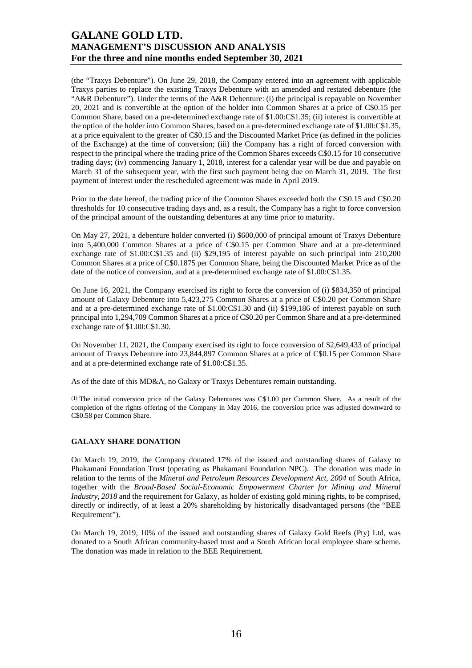(the "Traxys Debenture"). On June 29, 2018, the Company entered into an agreement with applicable Traxys parties to replace the existing Traxys Debenture with an amended and restated debenture (the "A&R Debenture"). Under the terms of the A&R Debenture: (i) the principal is repayable on November 20, 2021 and is convertible at the option of the holder into Common Shares at a price of C\$0.15 per Common Share, based on a pre-determined exchange rate of \$1.00:C\$1.35; (ii) interest is convertible at the option of the holder into Common Shares, based on a pre-determined exchange rate of \$1.00:C\$1.35, at a price equivalent to the greater of C\$0.15 and the Discounted Market Price (as defined in the policies of the Exchange) at the time of conversion; (iii) the Company has a right of forced conversion with respect to the principal where the trading price of the Common Shares exceeds C\$0.15 for 10 consecutive trading days; (iv) commencing January 1, 2018, interest for a calendar year will be due and payable on March 31 of the subsequent year, with the first such payment being due on March 31, 2019. The first payment of interest under the rescheduled agreement was made in April 2019.

Prior to the date hereof, the trading price of the Common Shares exceeded both the C\$0.15 and C\$0.20 thresholds for 10 consecutive trading days and, as a result, the Company has a right to force conversion of the principal amount of the outstanding debentures at any time prior to maturity.

On May 27, 2021, a debenture holder converted (i) \$600,000 of principal amount of Traxys Debenture into 5,400,000 Common Shares at a price of C\$0.15 per Common Share and at a pre-determined exchange rate of \$1.00:C\$1.35 and (ii) \$29,195 of interest payable on such principal into 210,200 Common Shares at a price of C\$0.1875 per Common Share, being the Discounted Market Price as of the date of the notice of conversion, and at a pre-determined exchange rate of \$1.00:C\$1.35.

On June 16, 2021, the Company exercised its right to force the conversion of (i) \$834,350 of principal amount of Galaxy Debenture into 5,423,275 Common Shares at a price of C\$0.20 per Common Share and at a pre-determined exchange rate of \$1.00:C\$1.30 and (ii) \$199,186 of interest payable on such principal into 1,294,709 Common Shares at a price of C\$0.20 per Common Share and at a pre-determined exchange rate of \$1.00:C\$1.30.

On November 11, 2021, the Company exercised its right to force conversion of \$2,649,433 of principal amount of Traxys Debenture into 23,844,897 Common Shares at a price of C\$0.15 per Common Share and at a pre-determined exchange rate of \$1.00:C\$1.35.

As of the date of this MD&A, no Galaxy or Traxys Debentures remain outstanding.

(1) The initial conversion price of the Galaxy Debentures was C\$1.00 per Common Share. As a result of the completion of the rights offering of the Company in May 2016, the conversion price was adjusted downward to C\$0.58 per Common Share.

#### **GALAXY SHARE DONATION**

On March 19, 2019, the Company donated 17% of the issued and outstanding shares of Galaxy to Phakamani Foundation Trust (operating as Phakamani Foundation NPC). The donation was made in relation to the terms of the *Mineral and Petroleum Resources Development Act, 2004* of South Africa, together with the *Broad-Based Social-Economic Empowerment Charter for Mining and Mineral Industry, 2018* and the requirement for Galaxy, as holder of existing gold mining rights, to be comprised, directly or indirectly, of at least a 20% shareholding by historically disadvantaged persons (the "BEE Requirement").

On March 19, 2019, 10% of the issued and outstanding shares of Galaxy Gold Reefs (Pty) Ltd, was donated to a South African community-based trust and a South African local employee share scheme. The donation was made in relation to the BEE Requirement.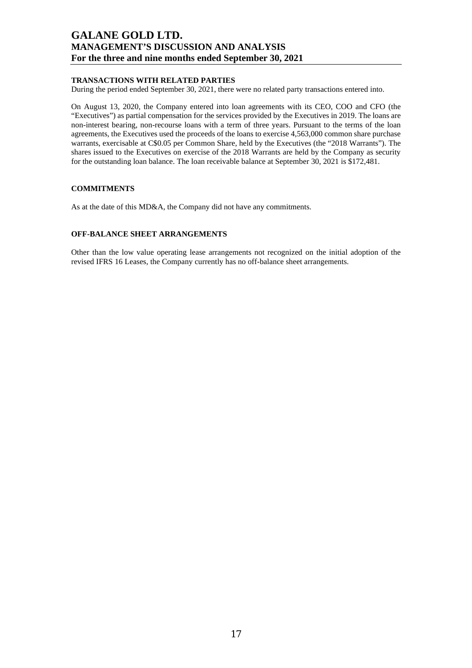### **TRANSACTIONS WITH RELATED PARTIES**

During the period ended September 30, 2021, there were no related party transactions entered into.

On August 13, 2020, the Company entered into loan agreements with its CEO, COO and CFO (the "Executives") as partial compensation for the services provided by the Executives in 2019. The loans are non-interest bearing, non-recourse loans with a term of three years. Pursuant to the terms of the loan agreements, the Executives used the proceeds of the loans to exercise 4,563,000 common share purchase warrants, exercisable at C\$0.05 per Common Share, held by the Executives (the "2018 Warrants"). The shares issued to the Executives on exercise of the 2018 Warrants are held by the Company as security for the outstanding loan balance. The loan receivable balance at September 30, 2021 is \$172,481.

### **COMMITMENTS**

As at the date of this MD&A, the Company did not have any commitments.

#### **OFF-BALANCE SHEET ARRANGEMENTS**

Other than the low value operating lease arrangements not recognized on the initial adoption of the revised IFRS 16 Leases, the Company currently has no off-balance sheet arrangements.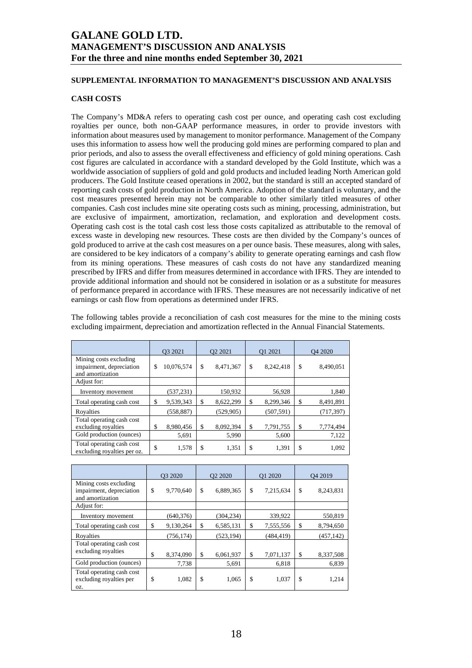### **SUPPLEMENTAL INFORMATION TO MANAGEMENT'S DISCUSSION AND ANALYSIS**

### **CASH COSTS**

The Company's MD&A refers to operating cash cost per ounce, and operating cash cost excluding royalties per ounce, both non-GAAP performance measures, in order to provide investors with information about measures used by management to monitor performance. Management of the Company uses this information to assess how well the producing gold mines are performing compared to plan and prior periods, and also to assess the overall effectiveness and efficiency of gold mining operations. Cash cost figures are calculated in accordance with a standard developed by the Gold Institute, which was a worldwide association of suppliers of gold and gold products and included leading North American gold producers. The Gold Institute ceased operations in 2002, but the standard is still an accepted standard of reporting cash costs of gold production in North America. Adoption of the standard is voluntary, and the cost measures presented herein may not be comparable to other similarly titled measures of other companies. Cash cost includes mine site operating costs such as mining, processing, administration, but are exclusive of impairment, amortization, reclamation, and exploration and development costs. Operating cash cost is the total cash cost less those costs capitalized as attributable to the removal of excess waste in developing new resources. These costs are then divided by the Company's ounces of gold produced to arrive at the cash cost measures on a per ounce basis. These measures, along with sales, are considered to be key indicators of a company's ability to generate operating earnings and cash flow from its mining operations. These measures of cash costs do not have any standardized meaning prescribed by IFRS and differ from measures determined in accordance with IFRS. They are intended to provide additional information and should not be considered in isolation or as a substitute for measures of performance prepared in accordance with IFRS. These measures are not necessarily indicative of net earnings or cash flow from operations as determined under IFRS.

The following tables provide a reconciliation of cash cost measures for the mine to the mining costs excluding impairment, depreciation and amortization reflected in the Annual Financial Statements.

|                                                                        | O3 2021          |    | O <sub>2</sub> 2021 | O1 2021         | O <sub>4</sub> 2020 |
|------------------------------------------------------------------------|------------------|----|---------------------|-----------------|---------------------|
| Mining costs excluding<br>impairment, depreciation<br>and amortization | \$<br>10,076,574 | \$ | 8,471,367           | \$<br>8,242,418 | \$<br>8,490,051     |
| Adjust for:                                                            |                  |    |                     |                 |                     |
| Inventory movement                                                     | (537, 231)       |    | 150.932             | 56,928          | 1,840               |
| Total operating cash cost                                              | \$<br>9,539,343  | \$ | 8,622,299           | \$<br>8,299,346 | \$<br>8,491,891     |
| Rovalties                                                              | (558, 887)       |    | (529, 905)          | (507, 591)      | (717, 397)          |
| Total operating cash cost<br>excluding royalties                       | \$<br>8,980,456  | S  | 8,092,394           | \$<br>7,791,755 | \$<br>7,774,494     |
| Gold production (ounces)                                               | 5,691            |    | 5,990               | 5,600           | 7,122               |
| Total operating cash cost<br>excluding royalties per oz.               | \$<br>1,578      | \$ | 1,351               | \$<br>1,391     | \$<br>1,092         |

|                                                                        | O3 2020 |            | O <sub>2</sub> 2020 |    | O1 2020    | O <sub>4</sub> 2019 |
|------------------------------------------------------------------------|---------|------------|---------------------|----|------------|---------------------|
| Mining costs excluding<br>impairment, depreciation<br>and amortization | \$      | 9,770,640  | \$<br>6,889,365     | \$ | 7,215,634  | \$<br>8,243,831     |
| Adjust for:                                                            |         |            |                     |    |            |                     |
| Inventory movement                                                     |         | (640, 376) | (304, 234)          |    | 339,922    | 550,819             |
| Total operating cash cost                                              | \$      | 9,130,264  | \$<br>6,585,131     | \$ | 7,555,556  | \$<br>8,794,650     |
| Royalties                                                              |         | (756, 174) | (523, 194)          |    | (484, 419) | (457, 142)          |
| Total operating cash cost<br>excluding royalties                       | \$      | 8,374,090  | \$<br>6,061,937     | \$ | 7,071,137  | \$<br>8,337,508     |
| Gold production (ounces)                                               |         | 7,738      | 5,691               |    | 6,818      | 6,839               |
| Total operating cash cost<br>excluding royalties per<br>OZ.            | \$      | 1,082      | \$<br>1,065         | \$ | 1,037      | \$<br>1,214         |